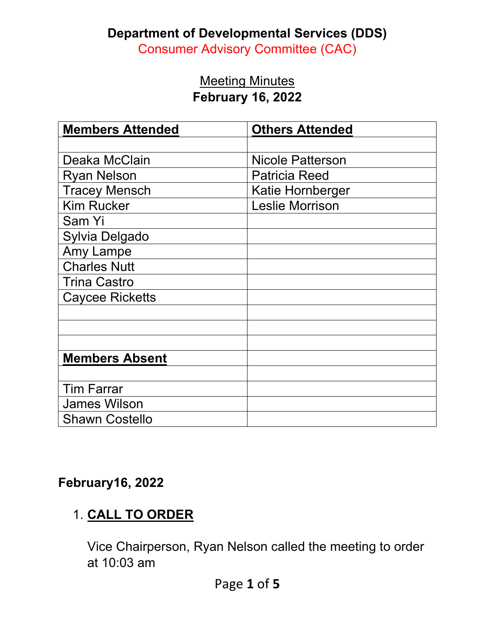#### **Department of Developmental Services (DDS)**

Consumer Advisory Committee (CAC)

#### **Meeting Minutes February 16, 2022**

| <b>Members Attended</b> | <b>Others Attended</b>  |
|-------------------------|-------------------------|
|                         |                         |
| Deaka McClain           | <b>Nicole Patterson</b> |
| <b>Ryan Nelson</b>      | <b>Patricia Reed</b>    |
| <b>Tracey Mensch</b>    | Katie Hornberger        |
| <b>Kim Rucker</b>       | <b>Leslie Morrison</b>  |
| Sam Yi                  |                         |
| Sylvia Delgado          |                         |
| Amy Lampe               |                         |
| <b>Charles Nutt</b>     |                         |
| <b>Trina Castro</b>     |                         |
| <b>Caycee Ricketts</b>  |                         |
|                         |                         |
|                         |                         |
|                         |                         |
| <b>Members Absent</b>   |                         |
|                         |                         |
| <b>Tim Farrar</b>       |                         |
| <b>James Wilson</b>     |                         |
| <b>Shawn Costello</b>   |                         |

### **February16, 2022**

# 1. **CALL TO ORDER**

Vice Chairperson, Ryan Nelson called the meeting to order at 10:03 am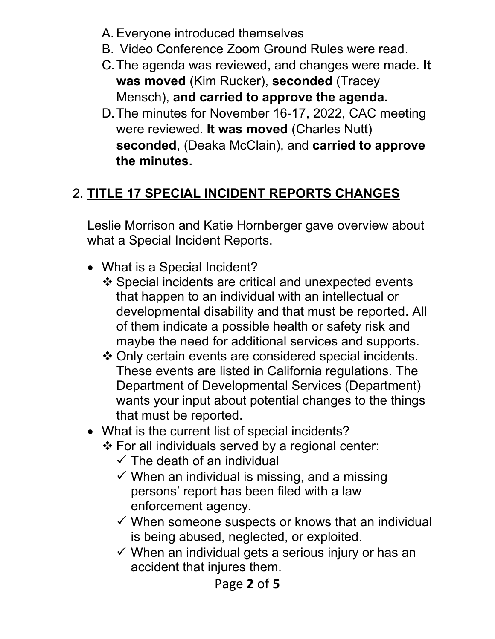- A. Everyone introduced themselves
- B. Video Conference Zoom Ground Rules were read.
- C.The agenda was reviewed, and changes were made. **It was moved** (Kim Rucker), **seconded** (Tracey Mensch), **and carried to approve the agenda.**
- D.The minutes for November 16-17, 2022, CAC meeting were reviewed. **It was moved** (Charles Nutt) **seconded**, (Deaka McClain), and **carried to approve the minutes.**

# 2. **TITLE 17 SPECIAL INCIDENT REPORTS CHANGES**

Leslie Morrison and Katie Hornberger gave overview about what a Special Incident Reports.

- What is a Special Incident?
	- Special incidents are critical and unexpected events that happen to an individual with an intellectual or developmental disability and that must be reported. All of them indicate a possible health or safety risk and maybe the need for additional services and supports.
	- Only certain events are considered special incidents. These events are listed in California regulations. The Department of Developmental Services (Department) wants your input about potential changes to the things that must be reported.
- What is the current list of special incidents?
	- For all individuals served by a regional center:
		- $\checkmark$  The death of an individual
		- $\checkmark$  When an individual is missing, and a missing persons' report has been filed with a law enforcement agency.
		- $\checkmark$  When someone suspects or knows that an individual is being abused, neglected, or exploited.
		- $\checkmark$  When an individual gets a serious injury or has an accident that injures them.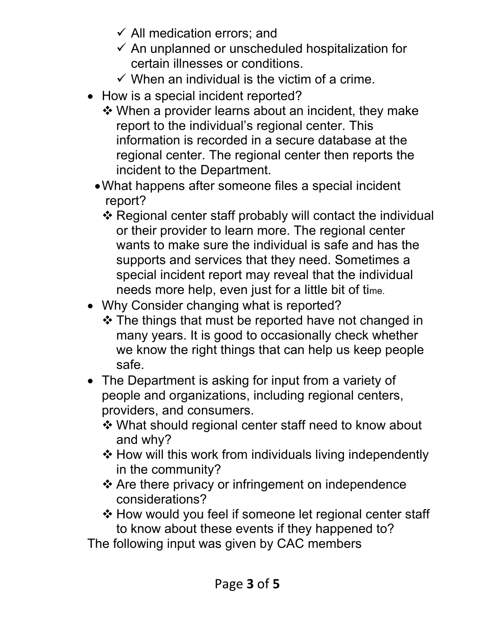- $\checkmark$  All medication errors; and
- $\checkmark$  An unplanned or unscheduled hospitalization for certain illnesses or conditions.
- $\checkmark$  When an individual is the victim of a crime.
- How is a special incident reported?
	- When a provider learns about an incident, they make report to the individual's regional center. This information is recorded in a secure database at the regional center. The regional center then reports the incident to the Department.
	- •What happens after someone files a special incident report?
		- Regional center staff probably will contact the individual or their provider to learn more. The regional center wants to make sure the individual is safe and has the supports and services that they need. Sometimes a special incident report may reveal that the individual needs more help, even just for a little bit of time.
- Why Consider changing what is reported?
	- $\cdot$  The things that must be reported have not changed in many years. It is good to occasionally check whether we know the right things that can help us keep people safe.
- The Department is asking for input from a variety of people and organizations, including regional centers, providers, and consumers.
	- What should regional center staff need to know about and why?
	- $\triangle$  How will this work from individuals living independently in the community?
	- ❖ Are there privacy or infringement on independence considerations?
	- ❖ How would you feel if someone let regional center staff to know about these events if they happened to?

The following input was given by CAC members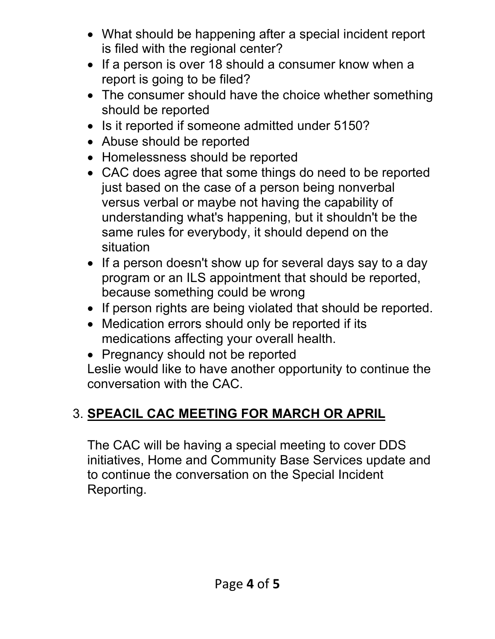- What should be happening after a special incident report is filed with the regional center?
- If a person is over 18 should a consumer know when a report is going to be filed?
- The consumer should have the choice whether something should be reported
- Is it reported if someone admitted under 5150?
- Abuse should be reported
- Homelessness should be reported
- CAC does agree that some things do need to be reported just based on the case of a person being nonverbal versus verbal or maybe not having the capability of understanding what's happening, but it shouldn't be the same rules for everybody, it should depend on the situation
- If a person doesn't show up for several days say to a day program or an ILS appointment that should be reported, because something could be wrong
- If person rights are being violated that should be reported.
- Medication errors should only be reported if its medications affecting your overall health.
- Pregnancy should not be reported

Leslie would like to have another opportunity to continue the conversation with the CAC.

# 3. **SPEACIL CAC MEETING FOR MARCH OR APRIL**

The CAC will be having a special meeting to cover DDS initiatives, Home and Community Base Services update and to continue the conversation on the Special Incident Reporting.